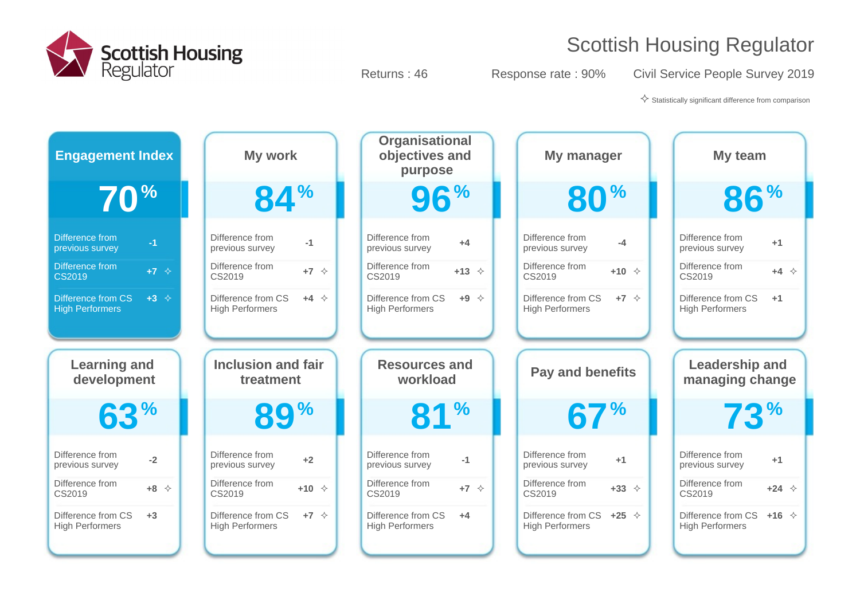

Returns : 46 Response rate : 90% Civil Service People Survey 2019

 $\diamondsuit$  Statistically significant difference from comparison

| <b>Engagement Index</b>    | My work                               | <b>Organisational</b><br>objectives and<br>purpose | My manager                        | My team                           |
|----------------------------|---------------------------------------|----------------------------------------------------|-----------------------------------|-----------------------------------|
| 70 <sup>%</sup>            | <b>84%</b>                            | 96%                                                | <b>80%</b>                        | <b>86%</b>                        |
| Difference from            | Difference from                       | Difference from                                    | Difference from                   | Difference from                   |
| $-1$                       | $-1$                                  | $+4$                                               | $-4$                              | $+1$                              |
| previous survey            | previous survey                       | previous survey                                    | previous survey                   | previous survey                   |
| Difference from            | Difference from                       | Difference from                                    | Difference from                   | Difference from                   |
| $+7$ $\diamond$            | $+7$ $\Diamond$                       | $+13$ $\diamond$                                   | $+10 \div$                        | $+4$ $\Diamond$                   |
| <b>CS2019</b>              | CS2019                                | CS2019                                             | CS2019                            | CS2019                            |
| Difference from CS         | Difference from CS                    | Difference from CS                                 | Difference from CS                | Difference from CS                |
| $+3$ $\diamond$            | $+4$ $\Diamond$                       | $+9$ $\diamond$                                    | $+7$ $\Diamond$                   | $+1$                              |
| <b>High Performers</b>     | <b>High Performers</b>                | <b>High Performers</b>                             | <b>High Performers</b>            | <b>High Performers</b>            |
|                            |                                       |                                                    |                                   |                                   |
| <b>Learning and</b>        | <b>Inclusion and fair</b>             | <b>Resources and</b>                               | <b>Pay and benefits</b>           | <b>Leadership and</b>             |
| development                | treatment                             | workload                                           |                                   | managing change                   |
| 63%                        | <b>89%</b>                            | 81 <sup>%</sup>                                    | 67%                               | 73 <sup>%</sup>                   |
| Difference from            | Difference from                       | Difference from                                    | Difference from                   | Difference from                   |
| $-2$                       | $+2$                                  | $-1$                                               | $+1$                              | $+1$                              |
| previous survey            | previous survey                       | previous survey                                    | previous survey                   | previous survey                   |
| Difference from            | Difference from                       | Difference from                                    | Difference from                   | Difference from                   |
| $+8$ $\Diamond$            | $+10 \div$                            | $+7$ $\Diamond$                                    | $+33$ $\diamond$                  | $+24$ $\diamond$                  |
| CS2019                     | CS2019                                | CS2019                                             | CS2019                            | CS2019                            |
| Difference from CS<br>$+3$ | Difference from CS<br>$+7$ $\Diamond$ | Difference from CS<br>$+4$                         | Difference from CS $+25 \diamond$ | Difference from CS +16 $\Diamond$ |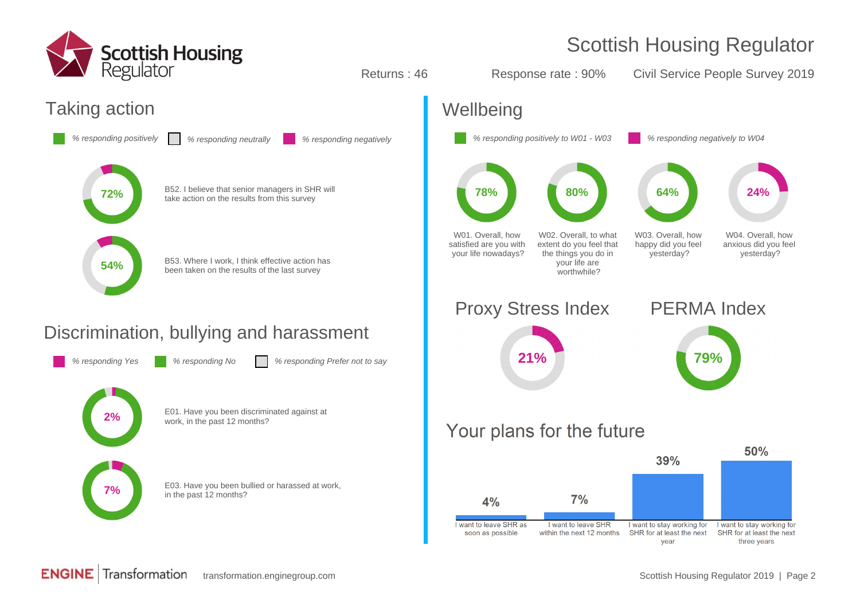

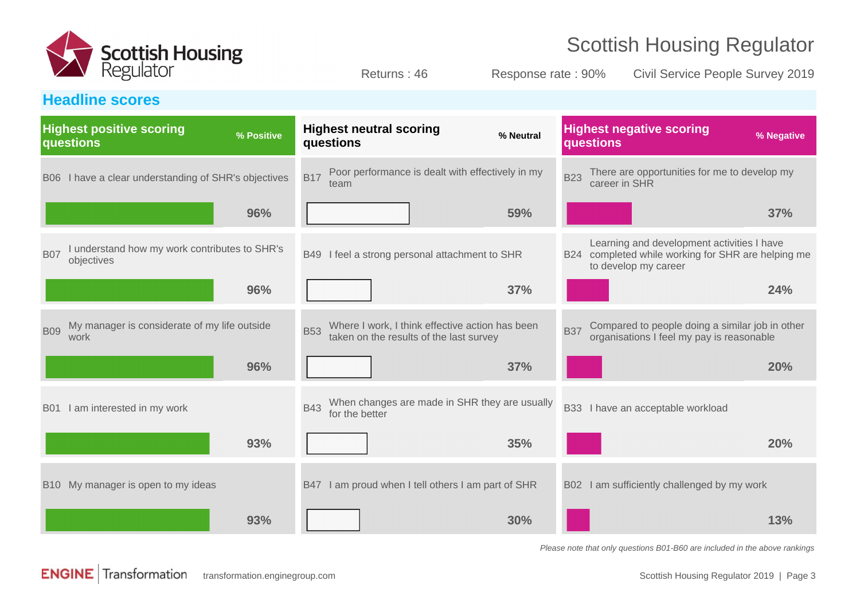

Returns : 46 Response rate : 90% Civil Service People Survey 2019

#### **Headline scores**

| <b>Highest positive scoring</b><br>questions                              | % Positive | <b>Highest neutral scoring</b><br>questions                                                              | % Neutral | <b>Highest negative scoring</b><br>questions                                                                             | % Negative |
|---------------------------------------------------------------------------|------------|----------------------------------------------------------------------------------------------------------|-----------|--------------------------------------------------------------------------------------------------------------------------|------------|
| B06 I have a clear understanding of SHR's objectives                      |            | Poor performance is dealt with effectively in my<br><b>B17</b><br>team                                   |           | There are opportunities for me to develop my<br><b>B23</b><br>career in SHR                                              |            |
|                                                                           | 96%        |                                                                                                          | 59%       |                                                                                                                          | 37%        |
| I understand how my work contributes to SHR's<br><b>B07</b><br>objectives |            | B49 I feel a strong personal attachment to SHR                                                           |           | Learning and development activities I have<br>B24 completed while working for SHR are helping me<br>to develop my career |            |
|                                                                           | 96%        |                                                                                                          | 37%       |                                                                                                                          | 24%        |
| My manager is considerate of my life outside<br><b>B09</b><br>work        |            | Where I work, I think effective action has been<br><b>B53</b><br>taken on the results of the last survey |           | Compared to people doing a similar job in other<br><b>B37</b><br>organisations I feel my pay is reasonable               |            |
|                                                                           | 96%        |                                                                                                          | 37%       |                                                                                                                          | 20%        |
| I am interested in my work<br><b>B01</b>                                  |            | When changes are made in SHR they are usually<br><b>B43</b><br>for the better                            |           | B33 I have an acceptable workload                                                                                        |            |
|                                                                           | 93%        |                                                                                                          | 35%       |                                                                                                                          | 20%        |
| B10 My manager is open to my ideas                                        |            | B47 I am proud when I tell others I am part of SHR                                                       |           | B02 I am sufficiently challenged by my work                                                                              |            |
|                                                                           | 93%        |                                                                                                          | 30%       |                                                                                                                          | 13%        |

Please note that only questions B01-B60 are included in the above rankings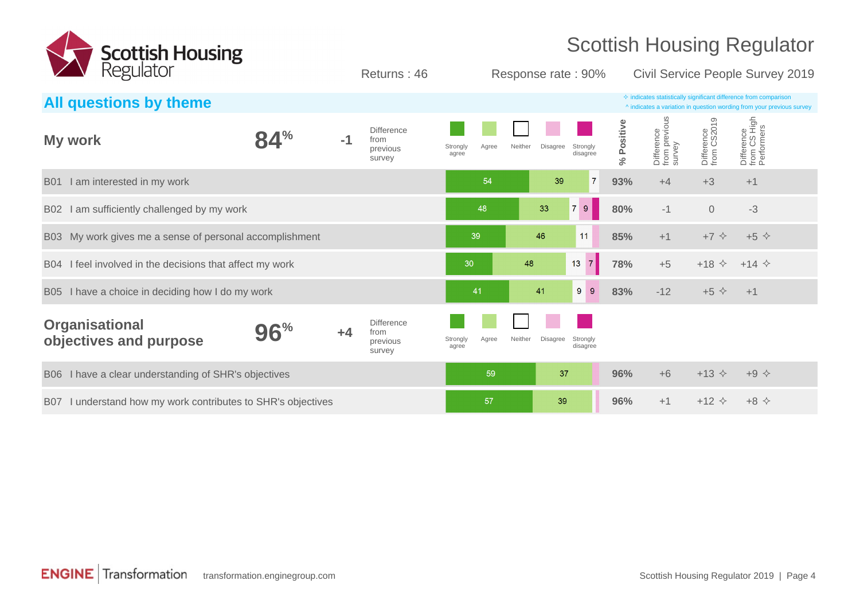

Returns : 46 Response rate : 90% Civil Service People Survey 2019

| $\cdot$ $\cdot$ $\circ$ $\circ$ $\cdot$ $\cdot$ $\circ$ $\circ$ $\cdot$ $\cdot$ |     |      | $\overline{\phantom{a}}$                        |                   |       |         | $1100$ points in and $1000$      |                       | OTHE OCT HOU F COPIC OCH FOR ZUITU                                                                                                                 |                           |                                          |  |
|---------------------------------------------------------------------------------|-----|------|-------------------------------------------------|-------------------|-------|---------|----------------------------------|-----------------------|----------------------------------------------------------------------------------------------------------------------------------------------------|---------------------------|------------------------------------------|--|
| All questions by theme                                                          |     |      |                                                 |                   |       |         |                                  |                       | $\Diamond$ indicates statistically significant difference from comparison<br>^ indicates a variation in question wording from your previous survey |                           |                                          |  |
| My work                                                                         | 84% | $-1$ | <b>Difference</b><br>from<br>previous<br>survey | Strongly<br>agree | Agree | Neither | Disagree<br>Strongly<br>disagree | Positive<br>Š,        | Difference<br>from previous<br>survey                                                                                                              | Difference<br>from CS2019 | Difference<br>from CS High<br>Performers |  |
| I am interested in my work<br><b>B01</b>                                        |     |      |                                                 |                   | 54    |         | 39                               | $\overline{7}$<br>93% | $+4$                                                                                                                                               | $+3$                      | $+1$                                     |  |
| I am sufficiently challenged by my work<br>B02                                  |     |      |                                                 |                   | 48    | 33      | 9 <sup>°</sup><br>7 <sup>1</sup> | 80%                   | $-1$                                                                                                                                               | $\mathbf 0$               | $-3$                                     |  |
| B03 My work gives me a sense of personal accomplishment                         |     |      |                                                 |                   | 39    | 46      | 11                               | 85%                   | $+1$                                                                                                                                               | $+7$ $\diamond$           | $+5$ $\diamond$                          |  |
| I feel involved in the decisions that affect my work<br><b>B04</b>              |     |      |                                                 | 30                |       | 48      | 7 <br>13                         | 78%                   | $+5$                                                                                                                                               | $+18$ $\diamond$          | $+14$ $\diamond$                         |  |
| B05 I have a choice in deciding how I do my work                                |     |      |                                                 |                   | 41    | 41      | $9\,$<br>9                       | 83%                   | $-12$                                                                                                                                              | $+5$ $\diamond$           | $+1$                                     |  |
| <b>Organisational</b><br>objectives and purpose                                 | 96% | $+4$ | <b>Difference</b><br>from<br>previous<br>survey | Strongly<br>agree | Agree | Neither | Disagree<br>Strongly<br>disagree |                       |                                                                                                                                                    |                           |                                          |  |
| B06 I have a clear understanding of SHR's objectives                            |     |      |                                                 |                   | 59    |         | 37                               | 96%                   | $+6$                                                                                                                                               | $+13$ $\Diamond$          | $+9$ $\diamond$                          |  |
| I understand how my work contributes to SHR's objectives<br><b>B07</b>          |     |      |                                                 |                   | 57    |         | 39                               | 96%                   | $+1$                                                                                                                                               | $+12$ $\Diamond$          | $+8$ $\Leftrightarrow$                   |  |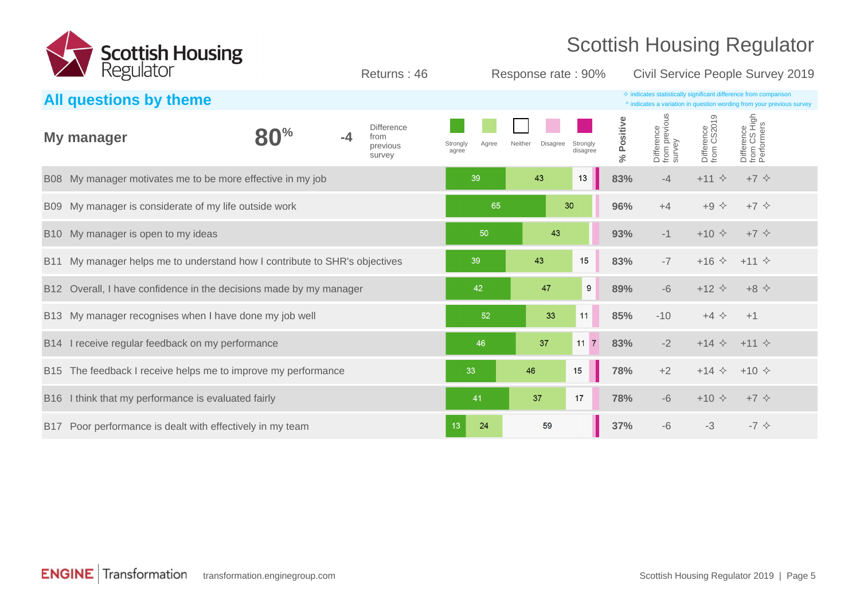

Returns : 46 Response rate : 90% Civil Service People Survey 2019

|                 | All questions by theme                                                 |      |                                                 |                            |                     | $\diamond$ indicates statistically significant difference from comparison<br>^ indicates a variation in question wording from your previous survey |            |                                       |                                |                                          |
|-----------------|------------------------------------------------------------------------|------|-------------------------------------------------|----------------------------|---------------------|----------------------------------------------------------------------------------------------------------------------------------------------------|------------|---------------------------------------|--------------------------------|------------------------------------------|
|                 | My manager                                                             | $-4$ | <b>Difference</b><br>from<br>previous<br>survey | Strongly<br>Agree<br>agree | Disagree<br>Neither | Strongly<br>disagree                                                                                                                               | % Positive | Difference<br>from previous<br>survey | Difference<br>from CS2019      | Difference<br>from CS High<br>Performers |
|                 | B08 My manager motivates me to be more effective in my job             |      |                                                 | 39                         | 43                  | 13                                                                                                                                                 | 83%        | $-4$                                  | $+11$ $\diamond$               | $+7$ $\diamond$                          |
|                 | B09 My manager is considerate of my life outside work                  |      |                                                 | 65                         |                     | 30                                                                                                                                                 | 96%        | $+4$                                  | $+9$ $\diamond$                | $+7$ $\diamond$                          |
|                 | B10 My manager is open to my ideas                                     |      |                                                 | 50                         | 43                  |                                                                                                                                                    | 93%        | $-1$                                  | $+10 \div$                     | $+7$ $\diamond$                          |
| B11             | My manager helps me to understand how I contribute to SHR's objectives |      |                                                 | 39                         | 43                  | 15                                                                                                                                                 | 83%        | $-7$                                  | $+16 \diamond $ +11 $\diamond$ |                                          |
| B <sub>12</sub> | Overall, I have confidence in the decisions made by my manager         |      |                                                 | 42                         | 47                  | 9                                                                                                                                                  | 89%        | $-6$                                  | $+12$ $\Diamond$               | $+8$ $\Diamond$                          |
|                 | B13 My manager recognises when I have done my job well                 |      |                                                 | 52                         | 33                  | 11                                                                                                                                                 | 85%        | $-10$                                 | $+4$ $\diamond$                | $+1$                                     |
|                 | B14 I receive regular feedback on my performance                       |      |                                                 | 46                         | 37                  | $11 \overline{7}$                                                                                                                                  | 83%        | $-2$                                  | $+14 \diamond +11 \diamond$    |                                          |
|                 | B15 The feedback I receive helps me to improve my performance          |      |                                                 | 33                         | 46                  | 15                                                                                                                                                 | 78%        | $+2$                                  | $+14$ $\diamond$               | $+10 \diamond$                           |
| <b>B16</b>      | I think that my performance is evaluated fairly                        |      |                                                 | 41                         | 37                  | 17                                                                                                                                                 | 78%        | $-6$                                  | $+10 \div$                     | $+7$ $\diamond$                          |
|                 | B17 Poor performance is dealt with effectively in my team              |      |                                                 | 13<br>24                   | 59                  |                                                                                                                                                    | 37%        | $-6$                                  | $-3$                           | $-7$ $\diamond$                          |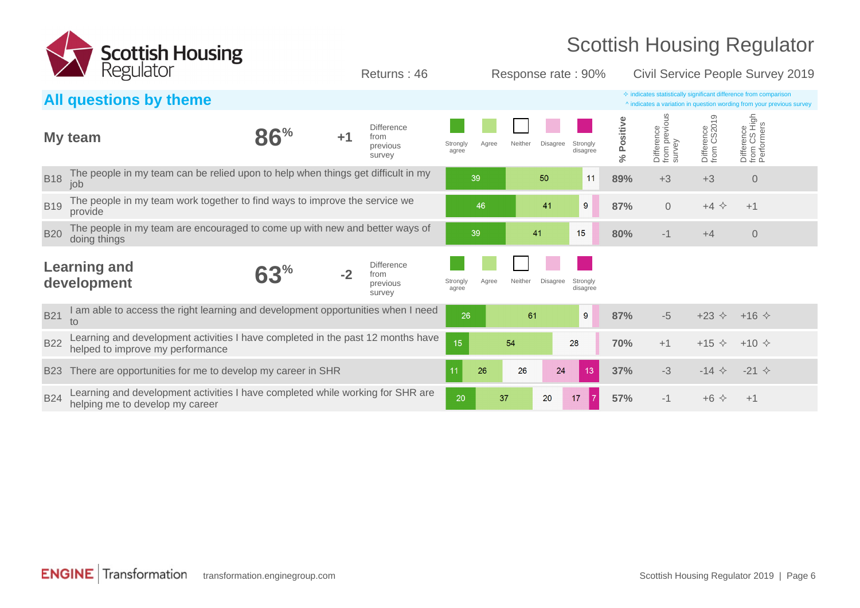

**All questions by theme**  $\triangle$  indicates a variation in question wording from your previous ^ indicates a variation in question wording from your previous survey **My team 86% +1 Difference** from previous survey Strongly agree Agree Neither Disagree Strongly disagree **% Positive** Difference<br>from previc<br>survey from previous Difference from CS2019 Difference Performers from CS High B18 The people in my team can be relied upon to help when things get difficult in my **89 6 11 89%** +3 +3 0<br> **B18** job B19 The people in my team work together to find ways to improve the service we **1990 Formulation and the service we** the service we consider the service we consider the service we consider the service we consider the servi B20 The people in my team are encouraged to come up with new and better ways of **180 metal 1990 metal 41 cm and 15** and 80% -1 +4 0 metal 15 doing things **Learning and development 63**<sup>%</sup> **Difference** from previous survey **Strongly** agree Agree Neither Disagree Strongly disagree B<sub>21</sub> I am able to access the right learning and development opportunities when I need to  $\frac{87}{6}$  -5 +23  $\div$  +16  $\div$  **10**  $\div$  -16  $\div$  **10**  $\div$  -16  $\div$  **10**  $\div$  -16  $\div$  **10**  $\div$  -16  $\div$ B22 Learning and development activities I have completed in the past 12 months have helped to improve my performance **70%** +1 +15 <sup>²</sup> +10 <sup>²</sup> Returns : 46 Response rate : 90% Civil Service People Survey 2019

B23 There are opportunities for me to develop my career in SHR **37%** -3  $-14 \leftarrow 26$   $-14 \leftarrow 37\%$   $-3$   $-14 \leftarrow -21 \leftarrow 3$ 

B<sub>24</sub> Learning and development activities I have completed while working for SHR are helping me to develop my career **57%** -1 +6 <sup>²</sup> +1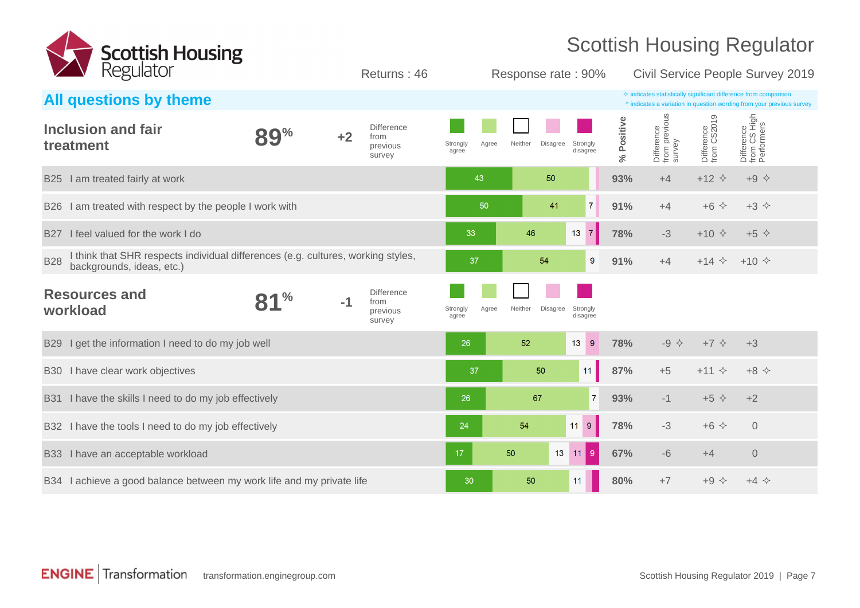

| <b>Example 18 November 1980</b>                                                                                             |               |      | Returns: 46                                     |                            | Response rate: 90%         |                      |            |                                       |                           | Civil Service People Survey 2019                                                                                                                   |  |
|-----------------------------------------------------------------------------------------------------------------------------|---------------|------|-------------------------------------------------|----------------------------|----------------------------|----------------------|------------|---------------------------------------|---------------------------|----------------------------------------------------------------------------------------------------------------------------------------------------|--|
| All questions by theme                                                                                                      |               |      |                                                 |                            |                            |                      |            |                                       |                           | $\diamond$ indicates statistically significant difference from comparison<br>^ indicates a variation in question wording from your previous survey |  |
| <b>Inclusion and fair</b><br>treatment                                                                                      | <b>89%</b>    | $+2$ | <b>Difference</b><br>from<br>previous<br>survey | Agree<br>Strongly<br>agree | Neither<br>Disagree        | Strongly<br>disagree | % Positive | Difference<br>from previous<br>survey | Difference<br>from CS2019 | Difference<br>from CS High<br>Performers                                                                                                           |  |
| I am treated fairly at work<br><b>B25</b>                                                                                   |               |      |                                                 | 43                         | 50                         |                      | 93%        | $+4$                                  | $+12$ $\Diamond$          | $+9$ $\diamond$                                                                                                                                    |  |
| I am treated with respect by the people I work with<br><b>B26</b>                                                           |               |      |                                                 | 50                         | 41                         | 7 <sup>1</sup>       | 91%        | $+4$                                  | $+6$ $\Diamond$           | $+3$ $\Leftrightarrow$                                                                                                                             |  |
| I feel valued for the work I do<br><b>B27</b>                                                                               |               |      |                                                 | 33                         | 46                         | 7 <br>13             | 78%        | $-3$                                  | $+10 \div$                | $+5$ $\diamond$                                                                                                                                    |  |
| I think that SHR respects individual differences (e.g. cultures, working styles,<br><b>B28</b><br>backgrounds, ideas, etc.) |               |      |                                                 | 37                         | 54                         | 9                    | 91%        | $+4$                                  |                           | $+14 \div +10 \div$                                                                                                                                |  |
| <b>Resources and</b><br>workload                                                                                            | $\frac{0}{0}$ | $-1$ | <b>Difference</b><br>from<br>previous<br>survey | Strongly<br>Agree<br>agree | Neither<br><b>Disagree</b> | Strongly<br>disagree |            |                                       |                           |                                                                                                                                                    |  |
| B29 I get the information I need to do my job well                                                                          |               |      |                                                 | 26                         | 52                         | 13<br>9              | 78%        | $-9$ $\diamond$                       | $+7$ $\Diamond$           | $+3$                                                                                                                                               |  |
| B30 I have clear work objectives                                                                                            |               |      |                                                 | 37                         | 50                         | 11                   | 87%        | $+5$                                  | $+11$ $\diamond$          | $+8$ $\Leftrightarrow$                                                                                                                             |  |
| B31 I have the skills I need to do my job effectively                                                                       |               |      |                                                 | 26                         | 67                         | $\overline{7}$       | 93%        | $-1$                                  | $+5$ $\diamond$           | $+2$                                                                                                                                               |  |
| B32 I have the tools I need to do my job effectively                                                                        |               |      |                                                 | 24                         | 54                         | $9\,$<br>11          | 78%        | $-3$                                  | $+6$ $\Diamond$           | $\overline{0}$                                                                                                                                     |  |
| B33 I have an acceptable workload                                                                                           |               |      |                                                 | 17                         | 50<br>13 <sup>°</sup>      | $\vert$ 9<br>11      | 67%        | $-6$                                  | $+4$                      | $\sqrt{0}$                                                                                                                                         |  |
| B34 I achieve a good balance between my work life and my private life                                                       |               |      |                                                 | 30                         | 50                         | 11                   | 80%        | $+7$                                  | $+9$ $\diamond$           | $+4$ $\diamond$                                                                                                                                    |  |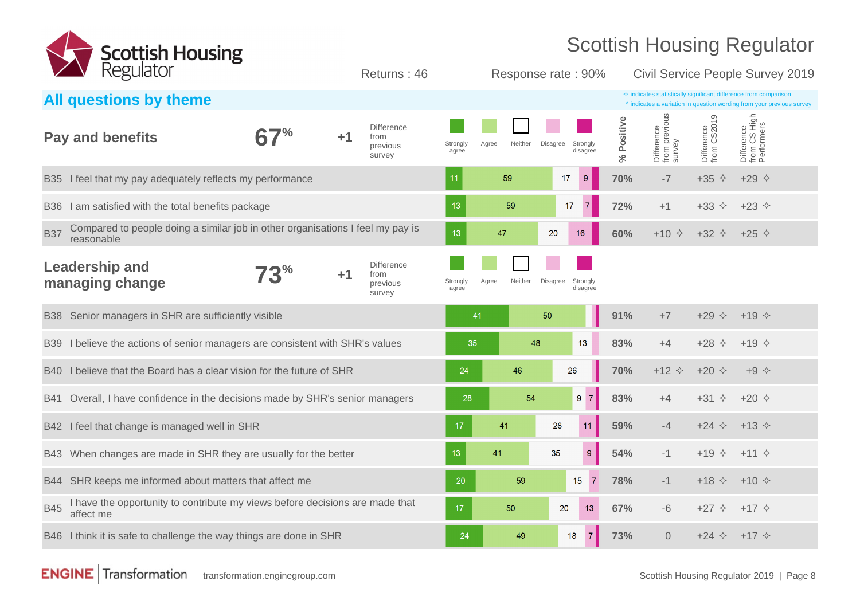

| <b>EXAMPLE REGUIDE</b>                                                                                     |              |      | Returns: 46                                     |                   |                  | Response rate: 90%                      |                  |                      |                                       |                               | Civil Service People Survey 2019                                                                                                                   |  |
|------------------------------------------------------------------------------------------------------------|--------------|------|-------------------------------------------------|-------------------|------------------|-----------------------------------------|------------------|----------------------|---------------------------------------|-------------------------------|----------------------------------------------------------------------------------------------------------------------------------------------------|--|
| All questions by theme                                                                                     |              |      |                                                 |                   |                  |                                         |                  |                      |                                       |                               | $\diamond$ indicates statistically significant difference from comparison<br>^ indicates a variation in question wording from your previous survey |  |
| <b>Pay and benefits</b>                                                                                    |              | $+1$ | <b>Difference</b><br>from<br>previous<br>survey | Strongly<br>agree | Neither<br>Agree | Strongly<br><b>Disagree</b><br>disagree |                  | Positive<br>$\aleph$ | Difference<br>from previous<br>survey | Difference<br>from CS2019     | Difference<br>from CS High<br>Performers                                                                                                           |  |
| I feel that my pay adequately reflects my performance<br><b>B35</b>                                        |              |      |                                                 | 11                | 59               | 17<br>9                                 |                  | 70%                  | $-7$                                  | $+35$ $\Diamond$              | $+29$ $\diamond$                                                                                                                                   |  |
| I am satisfied with the total benefits package<br><b>B36</b>                                               |              |      |                                                 | 13                | 59               | 17<br>$\overline{7}$                    |                  | 72%                  | $+1$                                  | $+33$ $\diamond$              | $+23$ $\Diamond$                                                                                                                                   |  |
| Compared to people doing a similar job in other organisations I feel my pay is<br><b>B37</b><br>reasonable |              |      |                                                 | 13                | 47               | 20<br>16                                |                  | 60%                  | $+10 \div$                            | +32 $\diamond$ +25 $\diamond$ |                                                                                                                                                    |  |
| <b>Leadership and</b><br>managing change                                                                   | $73^{\circ}$ | $+1$ | <b>Difference</b><br>from<br>previous<br>survey | Strongly<br>agree | Neither<br>Agree | <b>Disagree</b><br>Strongly<br>disagree |                  |                      |                                       |                               |                                                                                                                                                    |  |
| B38 Senior managers in SHR are sufficiently visible                                                        |              |      |                                                 | 41                |                  | 50                                      |                  | 91%                  | $+7$                                  | $+29$ $\diamond$              | $+19$ $\diamond$                                                                                                                                   |  |
| I believe the actions of senior managers are consistent with SHR's values<br><b>B39</b>                    |              |      |                                                 | 35                |                  | 48<br>13                                |                  | 83%                  | $+4$                                  | $+28$ $\Diamond$              | $+19 \div$                                                                                                                                         |  |
| I believe that the Board has a clear vision for the future of SHR<br><b>B40</b>                            |              |      |                                                 | 24                | 46               | 26                                      |                  | 70%                  | $+12$ $\Diamond$                      | $+20 \div$                    | $+9$ $\diamond$                                                                                                                                    |  |
| Overall, I have confidence in the decisions made by SHR's senior managers<br>B41                           |              |      |                                                 | 28                | 54               | $9 \mid 7 \mid$                         |                  | 83%                  | $+4$                                  | $+31$ $\diamond$              | $+20 \diamond$                                                                                                                                     |  |
| B42 I feel that change is managed well in SHR                                                              |              |      |                                                 | 17                | 41               | 28<br>11                                |                  | 59%                  | $-4$                                  | $+24$ $\diamond$              | $+13 \diamond$                                                                                                                                     |  |
| When changes are made in SHR they are usually for the better<br><b>B43</b>                                 |              |      |                                                 | 13                | 41               | 35                                      | $\boldsymbol{9}$ | 54%                  | $-1$                                  | $+19$ $\diamond$              | $+11 \diamond$                                                                                                                                     |  |
| SHR keeps me informed about matters that affect me<br>B44                                                  |              |      |                                                 | 20                | 59               | 15                                      | $\overline{7}$   | 78%                  | $-1$                                  | $+18$ $\Diamond$              | $+10 \div$                                                                                                                                         |  |
| I have the opportunity to contribute my views before decisions are made that<br><b>B45</b><br>affect me    |              |      |                                                 | 17                | 50               | 20                                      | 13               | 67%                  | -6                                    | $+27$ $\diamond$              | $+17$ $\diamond$                                                                                                                                   |  |
| B46 I think it is safe to challenge the way things are done in SHR                                         |              |      |                                                 | 24                | 49               | 18                                      | $\overline{7}$   | 73%                  | $\overline{0}$                        | $+24 \div +17 \div$           |                                                                                                                                                    |  |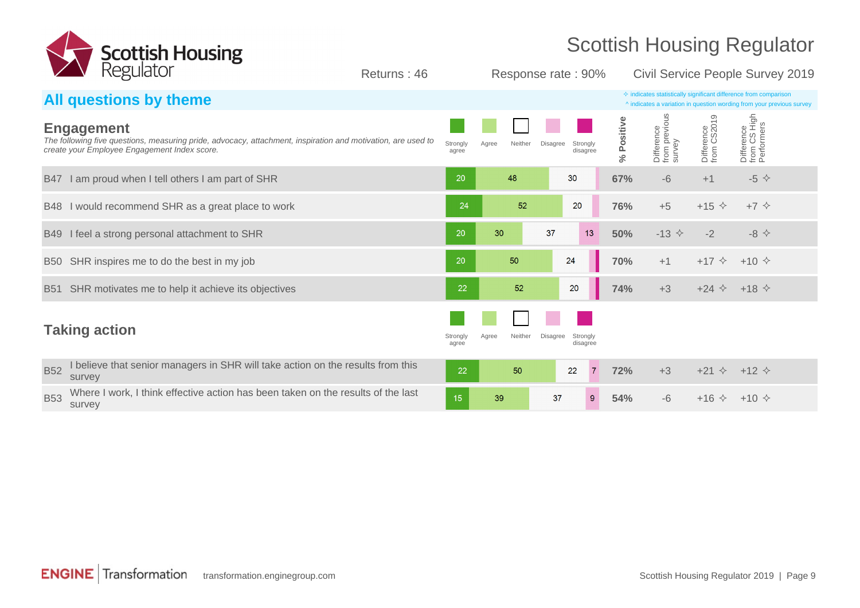

Returns : 46 Response rate : 90% Civil Service People Survey 2019

#### **All questions by theme**  $\triangle$  indicates a variation in question wording from your previous ^ indicates a variation in question wording from your previous survey from previous from CS High **% Positive** Difference from CS2019 **Engagement** Difference<br>from previc<br>survey Difference Performers The following five questions, measuring pride, advocacy, attachment, inspiration and motivation, are used to Strongly Agree Neither Disagree Strongly create your Employee Engagement Index score. agree disagree B47 I am proud when I tell others I am part of SHR  $\overline{5}$  **67%** -6 +1  $\overline{5}$   $\overline{6}$  +1  $\overline{5}$   $\overline{6}$  +1  $\overline{5}$   $\overline{6}$  +1  $\overline{5}$  +5  $\overline{6}$ B48 I would recommend SHR as a great place to work **76%** +5  $+7 \div 24$  **76%** +5  $+15 \div 15 \div 7$ B49 I feel a strong personal attachment to SHR  $\rightarrow$  80  $\rightarrow$  50  $\rightarrow$  50  $\rightarrow$  50%  $\rightarrow$  50%  $\rightarrow$  50%  $\rightarrow$  2  $\rightarrow$  8  $\rightarrow$ B50 SHR inspires me to do the best in my job **70%** +1 +17  $\diamond$  +10  $\diamond$ B51 SHR motivates me to help it achieve its objectives **748 74%** +3 +24  $\lozenge$  +18  $\lozenge$  +18  $\lozenge$ **Taking action** Strongly and Strongly and Strongly and Strongly and Strongly and Strongly Agree Neither Disagree Strongly disagree agree B52 I believe that senior managers in SHR will take action on the results from this 50 **72%** +3 +21  $\diamond$  +12  $\diamond$ 22 22  $\overline{7}$ survey B53 Where I work, I think effective action has been taken on the results of the last  $15$ 39 37  $9$ **54%** -6 +16  $\diamond$  +10  $\diamond$ survey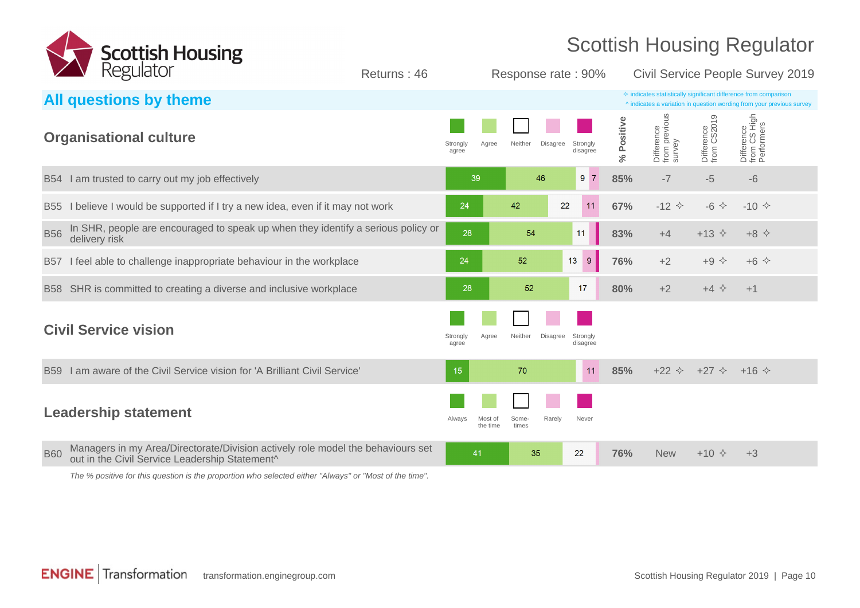

| Regulator                                                                                                                                       | Returns: 46       |                     | Response rate: 90%         |                      | Civil Service People Survey 2019 |                                       |                                                    |                                                                                                                                                    |
|-------------------------------------------------------------------------------------------------------------------------------------------------|-------------------|---------------------|----------------------------|----------------------|----------------------------------|---------------------------------------|----------------------------------------------------|----------------------------------------------------------------------------------------------------------------------------------------------------|
| All questions by theme                                                                                                                          |                   |                     |                            |                      |                                  |                                       |                                                    | $\Diamond$ indicates statistically significant difference from comparison<br>^ indicates a variation in question wording from your previous survey |
| <b>Organisational culture</b>                                                                                                                   | Strongly<br>agree | Agree               | Neither<br><b>Disagree</b> | Strongly<br>disagree | Positive<br>$\aleph_6$           | Difference<br>from previous<br>survey | Difference<br>from CS2019                          | Difference<br>from CS High<br>Performers                                                                                                           |
| I am trusted to carry out my job effectively<br><b>B54</b>                                                                                      |                   | 39                  | 46                         | 9 <sup>7</sup>       | 85%                              | $-7$                                  | $-5$                                               | $-6$                                                                                                                                               |
| I believe I would be supported if I try a new idea, even if it may not work<br><b>B55</b>                                                       | 24                |                     | 22<br>42                   | 11                   | 67%                              | $-12$ $\diamond$                      | $-6$ $\leftrightarrow$                             | $-10 \div$                                                                                                                                         |
| In SHR, people are encouraged to speak up when they identify a serious policy or<br><b>B56</b><br>delivery risk                                 | 28                |                     | 54                         | 11                   | 83%                              | $+4$                                  | $+13$ $\diamond$                                   | $+8$ $\Leftrightarrow$                                                                                                                             |
| I feel able to challenge inappropriate behaviour in the workplace<br><b>B57</b>                                                                 | 24                |                     | 52                         | 9 <sup>°</sup><br>13 | 76%                              | $+2$                                  | $+9$ $\diamond$                                    | $+6$ $\Diamond$                                                                                                                                    |
| SHR is committed to creating a diverse and inclusive workplace<br><b>B58</b>                                                                    | 28                |                     | 52                         | 17                   | 80%                              | $+2$                                  | $+4$ $\Leftrightarrow$                             | $+1$                                                                                                                                               |
| <b>Civil Service vision</b>                                                                                                                     | Strongly<br>agree | Agree               | Neither<br><b>Disagree</b> | Strongly<br>disagree |                                  |                                       |                                                    |                                                                                                                                                    |
| I am aware of the Civil Service vision for 'A Brilliant Civil Service'<br><b>B59</b>                                                            | 15                |                     | 70                         | 11                   | 85%                              |                                       | $+22$ $\diamond$ $+27$ $\diamond$ $+16$ $\diamond$ |                                                                                                                                                    |
| <b>Leadership statement</b>                                                                                                                     | Always            | Most of<br>the time | Some-<br>Rarely<br>times   | Never                |                                  |                                       |                                                    |                                                                                                                                                    |
| Managers in my Area/Directorate/Division actively role model the behaviours set<br><b>B60</b><br>out in the Civil Service Leadership Statement^ |                   | 41                  | 35                         | 22                   | 76%                              | <b>New</b>                            | $+10$ $\Diamond$                                   | $+3$                                                                                                                                               |

The % positive for this question is the proportion who selected either "Always" or "Most of the time".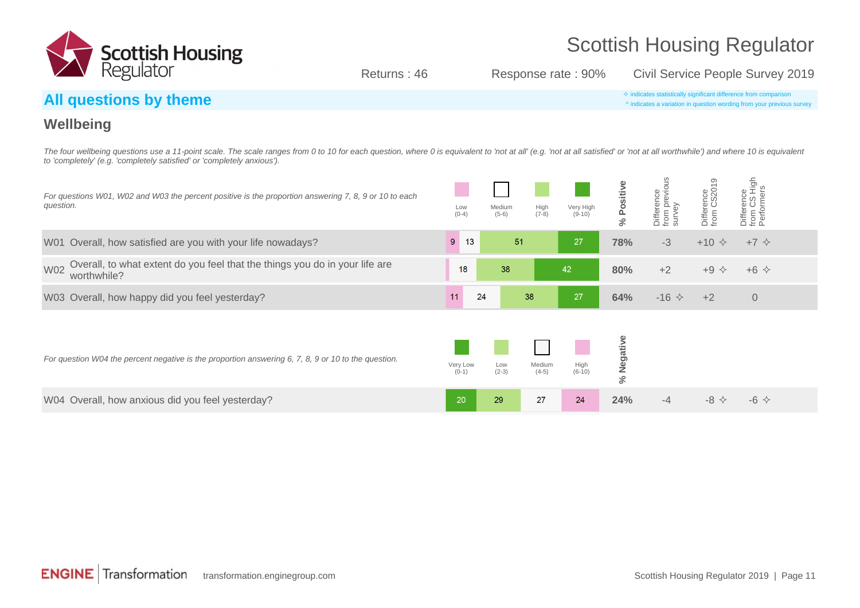

Returns : 46 Response rate : 90% Civil Service People Survey 2019

#### **All questions by theme**  $\bullet$  indicates statistically significant difference from comparison

^ indicates a variation in question wording from your previous survey

#### **Wellbeing**

The four wellbeing questions use a 11-point scale. The scale ranges from 0 to 10 for each question, where 0 is equivalent to 'not at all' (e.g. 'not at all satisfied' or 'not at all worthwhile') and where 10 is equivalent to 'completely' (e.g. 'completely satisfied' or 'completely anxious').

| For questions W01, W02 and W03 the percent positive is the proportion answering 7, 8, 9 or 10 to each<br>question. | Low<br>$(0-4)$      | Medium<br>$(5-6)$ | High<br>$(7-8)$   | Very High<br>$(9-10)$ | sitiv<br>Ä<br>ى<br>ج | Difference<br>from previous<br>survey | ာ<br>Difference<br>from CS201 | Difference<br>from CS High<br>Performers |  |
|--------------------------------------------------------------------------------------------------------------------|---------------------|-------------------|-------------------|-----------------------|----------------------|---------------------------------------|-------------------------------|------------------------------------------|--|
| W01 Overall, how satisfied are you with your life nowadays?                                                        | 13<br>9             | 51                |                   | 27                    | 78%                  | $-3$                                  | $+10 \div$                    | $+7$ $\diamond$                          |  |
| Overall, to what extent do you feel that the things you do in your life are<br><b>W02</b><br>worthwhile?           | 18                  | 38                |                   | 42                    | 80%                  | $+2$                                  | $+9$ $\diamond$               | $+6$ $\Diamond$                          |  |
| W03 Overall, how happy did you feel yesterday?                                                                     | 24<br>11            |                   | 38                | 27                    | 64%                  | $-16$ $\diamond$                      | $+2$                          | $\sqrt{0}$                               |  |
| For question W04 the percent negative is the proportion answering 6, 7, 8, 9 or 10 to the question.                | Very Low<br>$(0-1)$ | Low<br>$(2-3)$    | Medium<br>$(4-5)$ | $High (6-10)$         | % Negative           |                                       |                               |                                          |  |
| W04 Overall, how anxious did you feel yesterday?                                                                   | 20                  | 29                | 27                | 24                    | 24%                  | -4                                    | $-8$ $\Leftrightarrow$        | $-6 \diamond$                            |  |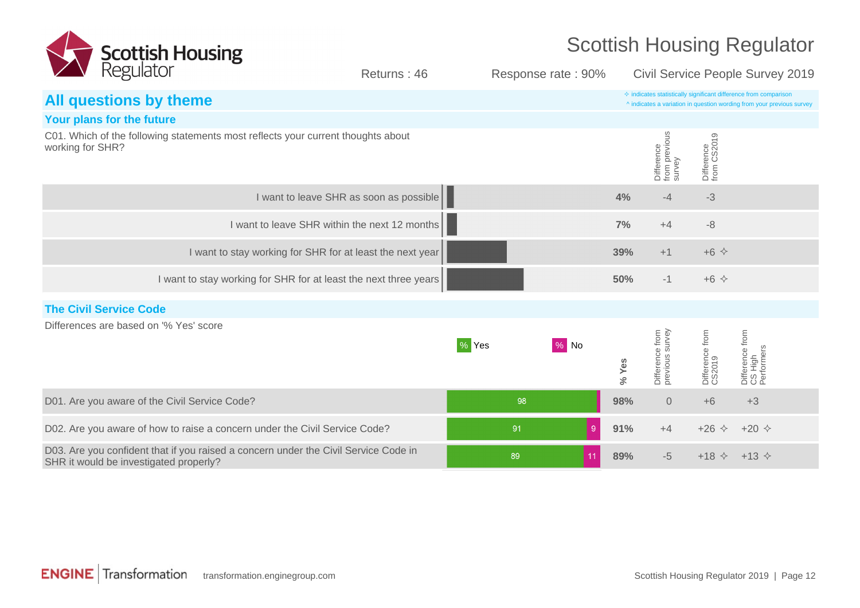

| <b>2 V Regulator</b>                                                                                                          | Returns: 46                                                      |       | Response rate: 90% |       |                                       |                               | Civil Service People Survey 2019                                                                                                                   |  |
|-------------------------------------------------------------------------------------------------------------------------------|------------------------------------------------------------------|-------|--------------------|-------|---------------------------------------|-------------------------------|----------------------------------------------------------------------------------------------------------------------------------------------------|--|
| All questions by theme                                                                                                        |                                                                  |       |                    |       |                                       |                               | $\diamond$ indicates statistically significant difference from comparison<br>^ indicates a variation in question wording from your previous survey |  |
| Your plans for the future                                                                                                     |                                                                  |       |                    |       |                                       |                               |                                                                                                                                                    |  |
| C01. Which of the following statements most reflects your current thoughts about<br>working for SHR?                          |                                                                  |       |                    |       | Difference<br>from previous<br>survey | Difference<br>from CS2019     |                                                                                                                                                    |  |
|                                                                                                                               | I want to leave SHR as soon as possible                          |       |                    | 4%    | $-4$                                  | $-3$                          |                                                                                                                                                    |  |
|                                                                                                                               | I want to leave SHR within the next 12 months                    |       |                    | 7%    | $+4$                                  | $-8$                          |                                                                                                                                                    |  |
|                                                                                                                               | I want to stay working for SHR for at least the next year        |       |                    | 39%   | $+1$                                  | $+6$ $\Diamond$               |                                                                                                                                                    |  |
|                                                                                                                               | I want to stay working for SHR for at least the next three years |       |                    | 50%   | $-1$                                  | $+6$ $\Diamond$               |                                                                                                                                                    |  |
| <b>The Civil Service Code</b>                                                                                                 |                                                                  |       |                    |       |                                       |                               |                                                                                                                                                    |  |
| Differences are based on '% Yes' score                                                                                        |                                                                  | % Yes | $\%$ No            | % Yes | Difference from<br>previous survey    | Difference from<br>CS2019     | Difference from<br>CS High<br>Performers                                                                                                           |  |
| D01. Are you aware of the Civil Service Code?                                                                                 |                                                                  | 98    |                    | 98%   | $\overline{0}$                        | $+6$                          | $+3$                                                                                                                                               |  |
| D02. Are you aware of how to raise a concern under the Civil Service Code?                                                    |                                                                  | 91    | 9                  | 91%   | $+4$                                  | $+26$ $\diamond$              | $+20 \diamond$                                                                                                                                     |  |
| D03. Are you confident that if you raised a concern under the Civil Service Code in<br>SHR it would be investigated properly? |                                                                  | 89    | 11                 | 89%   | $-5$                                  | +18 $\diamond$ +13 $\diamond$ |                                                                                                                                                    |  |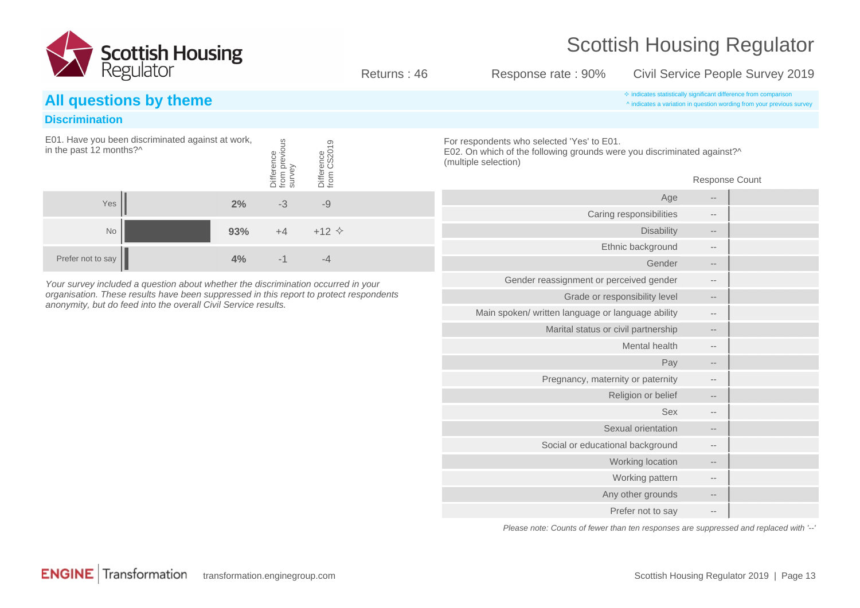

Returns : 46 Response rate : 90% Civil Service People Survey 2019

#### **Discrimination**

| in the past 12 months?^ | E01. Have you been discriminated against at work, |     | evious<br><b>Difference</b><br>from | <i>ifference</i><br>from |  |
|-------------------------|---------------------------------------------------|-----|-------------------------------------|--------------------------|--|
| Yes                     |                                                   | 2%  | -3                                  | -9                       |  |
| No                      |                                                   | 93% |                                     | $+12$ $\Diamond$         |  |
| Prefer not to say       |                                                   | 4%  |                                     |                          |  |

Your survey included a question about whether the discrimination occurred in your organisation. These results have been suppressed in this report to protect respondents anonymity, but do feed into the overall Civil Service results.

**All questions by theme**  $\triangle$  indicates a variation in question wording from your previous ^ indicates a variation in question wording from your previous survey

> For respondents who selected 'Yes' to E01. E02. On which of the following grounds were you discriminated against?^ (multiple selection)

> > Response Count

|                   | Age                                               |
|-------------------|---------------------------------------------------|
|                   | Caring responsibilities                           |
| --                | <b>Disability</b>                                 |
| $- -$             | Ethnic background                                 |
|                   | Gender                                            |
|                   | Gender reassignment or perceived gender           |
| $- -$             | Grade or responsibility level                     |
| $- -$             | Main spoken/ written language or language ability |
|                   | Marital status or civil partnership               |
|                   | Mental health                                     |
|                   | Pay                                               |
|                   | Pregnancy, maternity or paternity                 |
| --                | Religion or belief                                |
| $- -$             | <b>Sex</b>                                        |
|                   | Sexual orientation                                |
|                   | Social or educational background                  |
| $\qquad \qquad -$ | Working location                                  |
| $- -$             | Working pattern                                   |
| --                | Any other grounds                                 |
|                   | Prefer not to say                                 |

Please note: Counts of fewer than ten responses are suppressed and replaced with '--'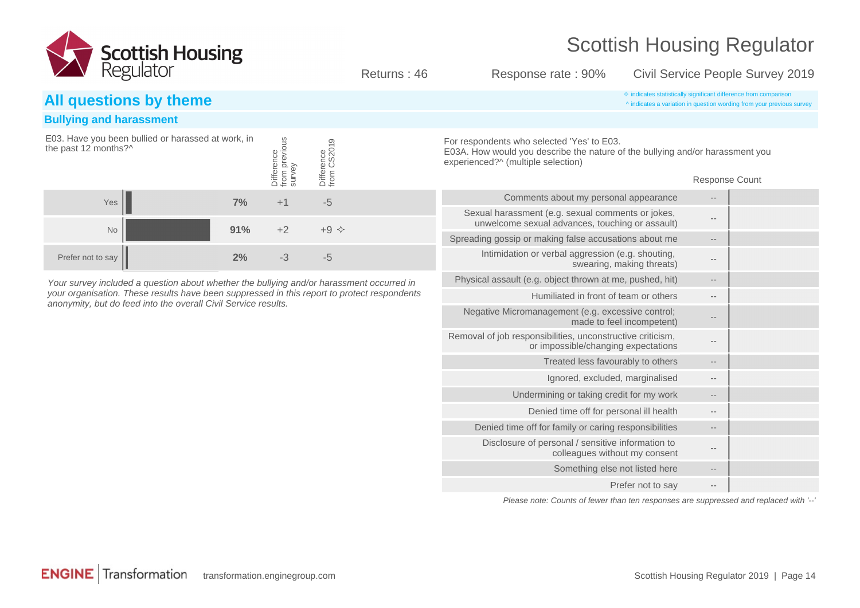

Returns : 46 Response rate : 90% Civil Service People Survey 2019

#### **All questions by theme**  $\bullet$  indicates a variation in question wording from your previous

#### **Bullying and harassment**

| the past 12 months?^ | E03. Have you been bullied or harassed at work, in |     | from previous<br>survey<br>Difference | Difference<br>from CS2019 |  |
|----------------------|----------------------------------------------------|-----|---------------------------------------|---------------------------|--|
| Yes                  |                                                    | 7%  | $+1$                                  | -5                        |  |
| No                   |                                                    | 91% | $+2$                                  | $+9$ $\diamond$           |  |
| Prefer not to say    |                                                    | 2%  |                                       |                           |  |

Your survey included a question about whether the bullying and/or harassment occurred in your organisation. These results have been suppressed in this report to protect respondents anonymity, but do feed into the overall Civil Service results.

^ indicates a variation in question wording from your previous survey

For respondents who selected 'Yes' to E03. E03A. How would you describe the nature of the bullying and/or harassment you experienced?^ (multiple selection)

Response Count

|       | Comments about my personal appearance                                                                |
|-------|------------------------------------------------------------------------------------------------------|
|       | Sexual harassment (e.g. sexual comments or jokes,<br>unwelcome sexual advances, touching or assault) |
|       | Spreading gossip or making false accusations about me                                                |
|       | Intimidation or verbal aggression (e.g. shouting,<br>swearing, making threats)                       |
| $-1$  | Physical assault (e.g. object thrown at me, pushed, hit)                                             |
|       | Humiliated in front of team or others                                                                |
|       | Negative Micromanagement (e.g. excessive control;<br>made to feel incompetent)                       |
|       | Removal of job responsibilities, unconstructive criticism,<br>or impossible/changing expectations    |
|       | Treated less favourably to others                                                                    |
|       | Ignored, excluded, marginalised                                                                      |
|       | Undermining or taking credit for my work                                                             |
|       | Denied time off for personal ill health                                                              |
|       | Denied time off for family or caring responsibilities                                                |
|       | Disclosure of personal / sensitive information to<br>colleagues without my consent                   |
|       | Something else not listed here                                                                       |
| $- -$ | Prefer not to say                                                                                    |
|       |                                                                                                      |

Please note: Counts of fewer than ten responses are suppressed and replaced with '--'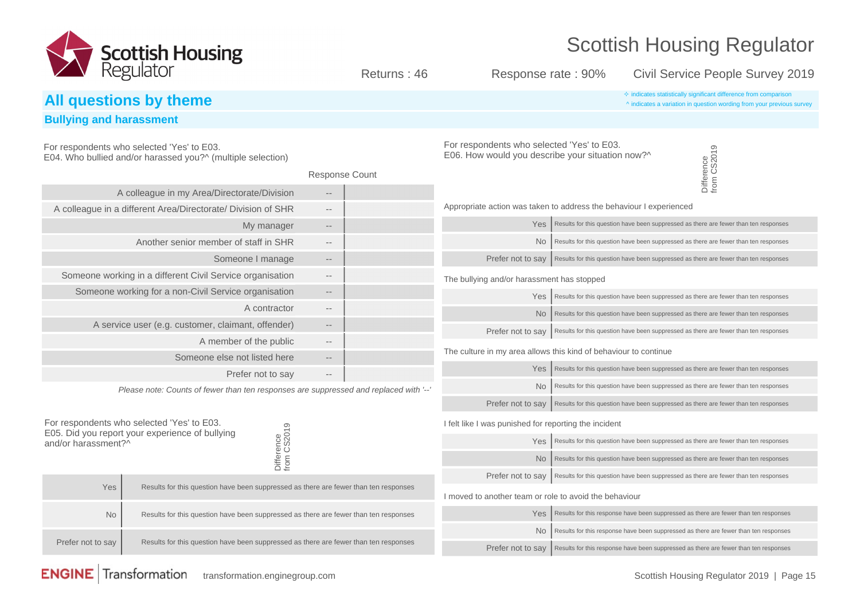

For respondents who selected 'Yes' to E03. E05. Did you report your experience of bullying and/or harassment?^ Difference from CS2019 Yes **Results for this question have been suppressed as there are fewer than ten responses** No **Results for this question have been suppressed as there are fewer than ten responses** Prefer not to say  $\parallel$  Results for this question have been suppressed as there are fewer than ten responses For respondents who selected 'Yes' to E03. E04. Who bullied and/or harassed you?^ (multiple selection) Response Count A colleague in my Area/Directorate/Division -- A colleague in a different Area/Directorate/ Division of SHR --My manager --Another senior member of staff in SHR --Someone I manage --Someone working in a different Civil Service organisation --Someone working for a non-Civil Service organisation --A contractor --A service user (e.g. customer, claimant, offender) --A member of the public --Someone else not listed here  $-$ Prefer not to say --Please note: Counts of fewer than ten responses are suppressed and replaced with '--**All questions by theme**  $\triangle$  indicates a variation in question wording from vour previous ^ indicates a variation in question wording from your previous survey **Bullying and harassment** For respondents who selected 'Yes' to E03. E06. How would you describe your situation now?^ Difference from CS2019 Appropriate action was taken to address the behaviour I experienced Yes | Results for this question have been suppressed as there are fewer than ten responses  $\overline{N}$  Results for this question have been suppressed as there are fewer than ten responses Prefer not to  $\text{sav}$  Results for this question have been suppressed as there are fewer than ten responses The bullying and/or harassment has stopped  $Yes$  Results for this question have been suppressed as there are fewer than ten responses  $\overline{N}$  Results for this question have been suppressed as there are fewer than ten responses Prefer not to say Results for this question have been suppressed as there are fewer than ten responses The culture in my area allows this kind of behaviour to continue  $Yes$  Results for this question have been suppressed as there are fewer than ten responses  $\overline{N}$  Results for this question have been suppressed as there are fewer than ten responses Prefer not to say Results for this question have been suppressed as there are fewer than ten responses I felt like I was punished for reporting the incident  $Yes$  Results for this question have been suppressed as there are fewer than ten responses  $\text{No}$  Results for this question have been suppressed as there are fewer than ten responses Prefer not to say Results for this question have been suppressed as there are fewer than ten responses I moved to another team or role to avoid the behaviour  $Yes$  Results for this response have been suppressed as there are fewer than ten responses  $\overline{N}$  Results for this response have been suppressed as there are fewer than ten responses Prefer not to say  $\big|$  Results for this response have been suppressed as there are fewer than ten responses Returns : 46 Response rate : 90% Civil Service People Survey 2019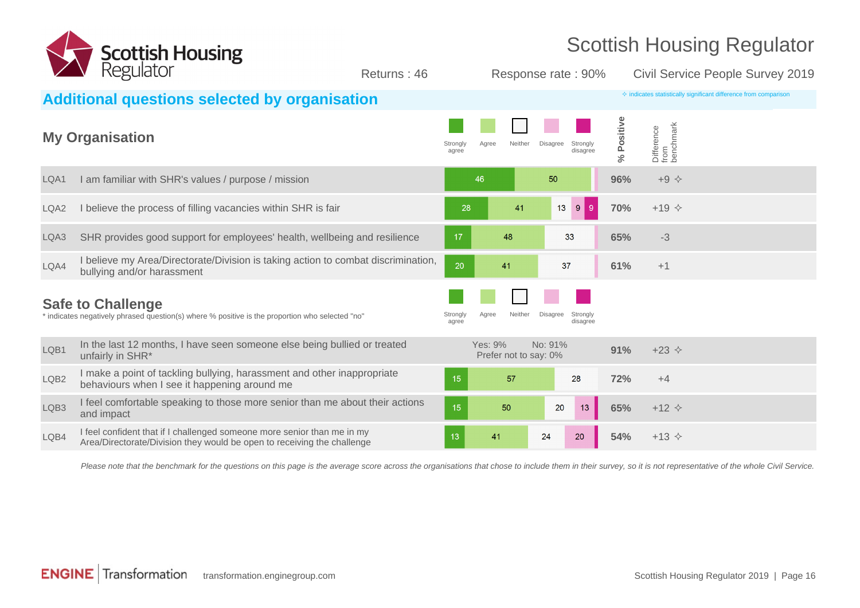

|                  | Regulator                                                                                                                                          | Returns: 46 |                   |                                  | Response rate: 90%                      |                    |                                                                           | Civil Service People Survey 2019 |
|------------------|----------------------------------------------------------------------------------------------------------------------------------------------------|-------------|-------------------|----------------------------------|-----------------------------------------|--------------------|---------------------------------------------------------------------------|----------------------------------|
|                  | <b>Additional questions selected by organisation</b>                                                                                               |             |                   |                                  |                                         |                    | $\Diamond$ indicates statistically significant difference from comparison |                                  |
|                  | <b>My Organisation</b>                                                                                                                             |             | Strongly<br>agree | Neither<br>Agree                 | <b>Disagree</b><br>Strongly<br>disagree | Positive<br>ى<br>ج | Difference<br>from<br>benchmark                                           |                                  |
| LQA1             | I am familiar with SHR's values / purpose / mission                                                                                                |             | 46                |                                  | 50                                      | 96%                | $+9$ $\diamond$                                                           |                                  |
| LQA <sub>2</sub> | I believe the process of filling vacancies within SHR is fair                                                                                      |             | 28                | 41                               | 13 <sup>°</sup><br>$9^{\circ}$<br>9     | 70%                | $+19$ $\diamond$                                                          |                                  |
| LQA3             | SHR provides good support for employees' health, wellbeing and resilience                                                                          |             | 17                | 48                               | 33                                      | 65%                | $-3$                                                                      |                                  |
| LQA4             | I believe my Area/Directorate/Division is taking action to combat discrimination,<br>bullying and/or harassment                                    |             | 20                | 41                               | 37                                      | 61%                | $+1$                                                                      |                                  |
|                  | <b>Safe to Challenge</b><br>* indicates negatively phrased question(s) where % positive is the proportion who selected "no"                        |             | Strongly<br>agree | Agree<br>Neither                 | <b>Disagree</b><br>Strongly<br>disagree |                    |                                                                           |                                  |
| LQB1             | In the last 12 months, I have seen someone else being bullied or treated<br>unfairly in SHR*                                                       |             |                   | Yes: 9%<br>Prefer not to say: 0% | No: 91%                                 | 91%                | $+23$ $\Diamond$                                                          |                                  |
| LQB2             | I make a point of tackling bullying, harassment and other inappropriate<br>behaviours when I see it happening around me                            |             | 15                | 57                               | 28                                      | 72%                | $+4$                                                                      |                                  |
| LQB3             | I feel comfortable speaking to those more senior than me about their actions<br>and impact                                                         |             | 15                | 50                               | 13<br>20                                | 65%                | $+12$ $\Diamond$                                                          |                                  |
| LQB4             | I feel confident that if I challenged someone more senior than me in my<br>Area/Directorate/Division they would be open to receiving the challenge |             | 13                | 41                               | 24<br>20                                | 54%                | $+13$ $\diamond$                                                          |                                  |

Please note that the benchmark for the questions on this page is the average score across the organisations that chose to include them in their survey, so it is not representative of the whole Civil Service.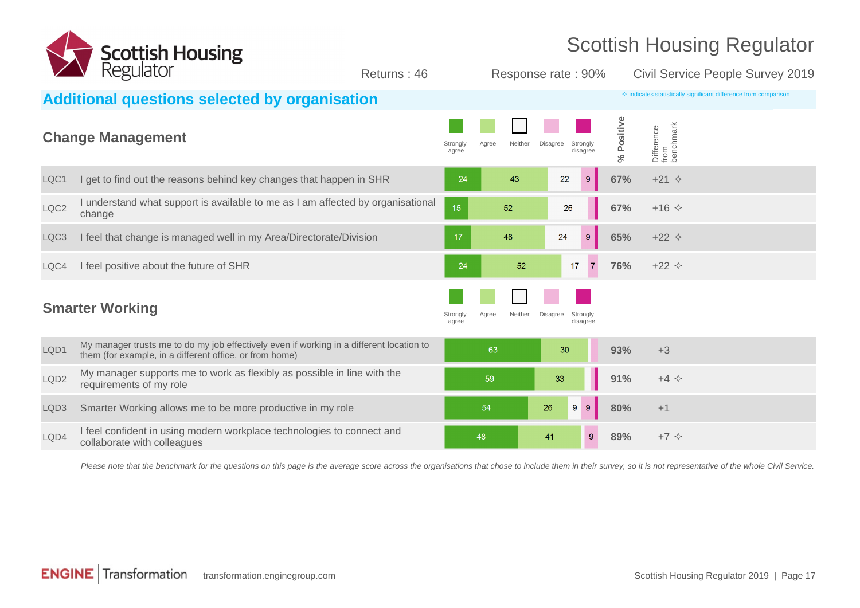

| $\sqrt{2}$       | Reguidioi                                                                                                                                           | Returns: 46       |       |         | Response rate: 90%          |                            |                                 | Civil Service People Survey 2019                                          |  |
|------------------|-----------------------------------------------------------------------------------------------------------------------------------------------------|-------------------|-------|---------|-----------------------------|----------------------------|---------------------------------|---------------------------------------------------------------------------|--|
|                  | <b>Additional questions selected by organisation</b>                                                                                                |                   |       |         |                             |                            |                                 | $\Diamond$ indicates statistically significant difference from comparison |  |
|                  | <b>Change Management</b>                                                                                                                            | Strongly<br>agree | Agree | Neither | <b>Disagree</b><br>Strongly | Positive<br>disagree<br>వ్ | Difference<br>from<br>benchmark |                                                                           |  |
| LQC1             | I get to find out the reasons behind key changes that happen in SHR                                                                                 |                   | 24    | 43      | 22                          | $9\,$<br>67%               | $+21$ $\diamond$                |                                                                           |  |
| LQC <sub>2</sub> | I understand what support is available to me as I am affected by organisational<br>change                                                           | 15                |       | 52      | 26                          | 67%                        | $+16$ $\diamond$                |                                                                           |  |
| LQC3             | I feel that change is managed well in my Area/Directorate/Division                                                                                  | 17                |       | 48      | 24                          | $\boldsymbol{9}$<br>65%    | $+22$ $\diamond$                |                                                                           |  |
| LQC4             | I feel positive about the future of SHR                                                                                                             |                   | 24    | 52      | 17                          | $\overline{7}$<br>76%      | $+22$ $\diamond$                |                                                                           |  |
|                  | <b>Smarter Working</b>                                                                                                                              | Strongly<br>agree | Agree | Neither | <b>Disagree</b><br>Strongly | disagree                   |                                 |                                                                           |  |
| LQD1             | My manager trusts me to do my job effectively even if working in a different location to<br>them (for example, in a different office, or from home) |                   | 63    |         | 30                          | 93%                        | $+3$                            |                                                                           |  |
| LQD <sub>2</sub> | My manager supports me to work as flexibly as possible in line with the<br>requirements of my role                                                  |                   | 59    |         | 33                          | 91%                        | $+4$ $\Leftrightarrow$          |                                                                           |  |
| LQD3             | Smarter Working allows me to be more productive in my role                                                                                          |                   | 54    |         | 26<br>9                     | 9 <sup>°</sup><br>80%      | $+1$                            |                                                                           |  |
| LQD4             | I feel confident in using modern workplace technologies to connect and<br>collaborate with colleagues                                               |                   | 48    |         | 41                          | 89%<br>$9^{\circ}$         | $+7$ $\diamond$                 |                                                                           |  |
|                  |                                                                                                                                                     |                   |       |         |                             |                            |                                 |                                                                           |  |

Please note that the benchmark for the questions on this page is the average score across the organisations that chose to include them in their survey, so it is not representative of the whole Civil Service.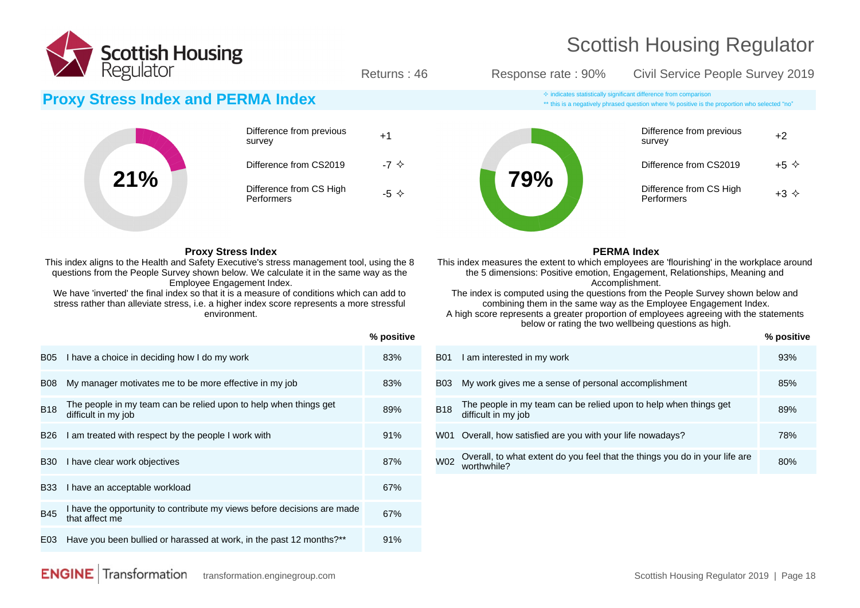

\*\* this is a negatively phrased question where % positive is the proportion who selected "no"

Returns : 46 Response rate : 90% Civil Service People Survey 2019

#### **Proxy Stress Index and PERMA Index**  $\bullet$  **indicates** statistically significant difference from comparison

|     | Difference from previous<br>survey    | $+1$ |
|-----|---------------------------------------|------|
|     | Difference from CS2019                |      |
| 21% | Difference from CS High<br>Performers |      |

#### **Proxy Stress Index**

This index aligns to the Health and Safety Executive's stress management tool, using the 8 questions from the People Survey shown below. We calculate it in the same way as the Employee Engagement Index.

We have 'inverted' the final index so that it is a measure of conditions which can add to stress rather than alleviate stress, i.e. a higher index score represents a more stressful environment.

|             |                                                                                           | % positive |
|-------------|-------------------------------------------------------------------------------------------|------------|
| <b>B05</b>  | I have a choice in deciding how I do my work                                              | 83%        |
| <b>B08</b>  | My manager motivates me to be more effective in my job                                    | 83%        |
| <b>B18</b>  | The people in my team can be relied upon to help when things get<br>difficult in my job   | 89%        |
| <b>B26</b>  | I am treated with respect by the people I work with                                       | 91%        |
| <b>B</b> 30 | I have clear work objectives                                                              | 87%        |
| <b>B</b> 33 | I have an acceptable workload                                                             | 67%        |
| <b>B45</b>  | I have the opportunity to contribute my views before decisions are made<br>that affect me | 67%        |
| E03         | Have you been bullied or harassed at work, in the past 12 months?**                       | 91%        |

#### **79%** Difference from previous <sub>+2</sub><br>survey Difference from CS2019  $+5 \diamond$ Difference from CS High Difference from CS High  $+3 \diamond$ <br>Performers

#### **PERMA Index**

This index measures the extent to which employees are 'flourishing' in the workplace around the 5 dimensions: Positive emotion, Engagement, Relationships, Meaning and Accomplishment.

The index is computed using the questions from the People Survey shown below and combining them in the same way as the Employee Engagement Index.

A high score represents a greater proportion of employees agreeing with the statements below or rating the two wellbeing questions as high.

|            |                                                                                            | <b>70 DOSITIVE</b> |
|------------|--------------------------------------------------------------------------------------------|--------------------|
| <b>B01</b> | I am interested in my work                                                                 | 93%                |
| <b>B03</b> | My work gives me a sense of personal accomplishment                                        | 85%                |
| <b>B18</b> | The people in my team can be relied upon to help when things get<br>difficult in my job    | 89%                |
| W01        | Overall, how satisfied are you with your life nowadays?                                    | 78%                |
| W02        | Overall, to what extent do you feel that the things you do in your life are<br>worthwhile? | 80%                |

**% positive**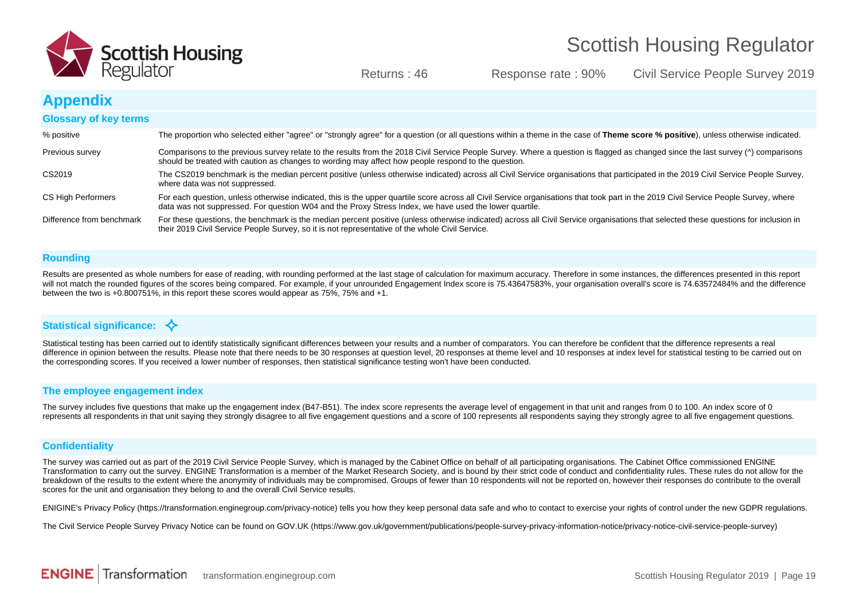

Returns : 46 Response rate : 90% Civil Service People Survey 2019

#### **Appendix**

| <b>Glossary of key terms</b> |                                                                                                                                                                                                                                                                                                 |
|------------------------------|-------------------------------------------------------------------------------------------------------------------------------------------------------------------------------------------------------------------------------------------------------------------------------------------------|
| % positive                   | The proportion who selected either "agree" or "strongly agree" for a question (or all questions within a theme in the case of Theme score % positive), unless otherwise indicated.                                                                                                              |
| Previous survey              | Comparisons to the previous survey relate to the results from the 2018 Civil Service People Survey. Where a question is flagged as changed since the last survey ( $\land$ ) comparisons<br>should be treated with caution as changes to wording may affect how people respond to the question. |
| CS2019                       | The CS2019 benchmark is the median percent positive (unless otherwise indicated) across all Civil Service organisations that participated in the 2019 Civil Service People Survey,<br>where data was not suppressed.                                                                            |
| CS High Performers           | For each question, unless otherwise indicated, this is the upper quartile score across all Civil Service organisations that took part in the 2019 Civil Service People Survey, where<br>data was not suppressed. For question W04 and the Proxy Stress Index, we have used the lower quartile.  |
| Difference from benchmark    | For these questions, the benchmark is the median percent positive (unless otherwise indicated) across all Civil Service organisations that selected these questions for inclusion in<br>their 2019 Civil Service People Survey, so it is not representative of the whole Civil Service.         |

#### **Rounding**

Results are presented as whole numbers for ease of reading, with rounding performed at the last stage of calculation for maximum accuracy. Therefore in some instances, the differences presented in this report will not match the rounded figures of the scores being compared. For example, if your unrounded Engagement Index score is 75.43647583%, your organisation overall's score is 74.63572484% and the difference between the two is +0.800751%, in this report these scores would appear as 75%, 75% and +1.

#### Statistical significance:  $\triangle$

Statistical testing has been carried out to identify statistically significant differences between your results and a number of comparators. You can therefore be confident that the difference represents a real difference in opinion between the results. Please note that there needs to be 30 responses at question level, 20 responses at theme level and 10 responses at index level for statistical testing to be carried out on the corresponding scores. If you received a lower number of responses, then statistical significance testing won't have been conducted.

#### **The employee engagement index**

The survey includes five questions that make up the engagement index (B47-B51). The index score represents the average level of engagement in that unit and ranges from 0 to 100. An index score of 0 represents all respondents in that unit saying they strongly disagree to all five engagement questions and a score of 100 represents all respondents saying they strongly agree to all five engagement questions.

#### **Confidentiality**

The survey was carried out as part of the 2019 Civil Service People Survey, which is managed by the Cabinet Office on behalf of all participating organisations. The Cabinet Office commissioned ENGINE Transformation to carry out the survey. ENGINE Transformation is a member of the Market Research Society, and is bound by their strict code of conduct and confidentiality rules. These rules do not allow for the breakdown of the results to the extent where the anonymity of individuals may be compromised. Groups of fewer than 10 respondents will not be reported on, however their responses do contribute to the overall scores for the unit and organisation they belong to and the overall Civil Service results.

ENIGINE's Privacy Policy (https://transformation.enginegroup.com/privacy-notice) tells you how they keep personal data safe and who to contact to exercise your rights of control under the new GDPR regulations.

The Civil Service People Survey Privacy Notice can be found on GOV.UK (https://www.gov.uk/government/publications/people-survey-privacy-information-notice/privacy-notice-civil-service-people-survey)